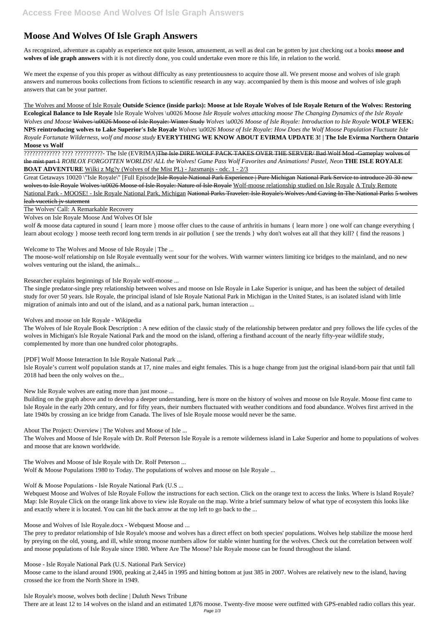## **Moose And Wolves Of Isle Graph Answers**

As recognized, adventure as capably as experience not quite lesson, amusement, as well as deal can be gotten by just checking out a books **moose and wolves of isle graph answers** with it is not directly done, you could undertake even more re this life, in relation to the world.

We meet the expense of you this proper as without difficulty as easy pretentiousness to acquire those all. We present moose and wolves of isle graph answers and numerous books collections from fictions to scientific research in any way. accompanied by them is this moose and wolves of isle graph answers that can be your partner.

The Wolves and Moose of Isle Royale **Outside Science (inside parks): Moose at Isle Royale Wolves of Isle Royale Return of the Wolves: Restoring Ecological Balance to Isle Royale** Isle Royale Wolves \u0026 Moose *Isle Royale wolves attacking moose The Changing Dynamics of the Isle Royale Wolves and Moose* Wolves \u0026 Moose of Isle Royale: Winter Study *Wolves \u0026 Moose of Isle Royale: Introduction to Isle Royale* **WOLF WEEK: NPS reintroducing wolves to Lake Superior's Isle Royale** *Wolves \u0026 Moose of Isle Royale: How Does the Wolf Moose Population Fluctuate Isle Royale Fortunate Wilderness, wolf and moose study* **EVERYTHING WE KNOW ABOUT EVIRMA UPDATE 3! | The Isle Evirma Northern Ontario Moose vs Wolf**

Great Getaways 10020 \"Isle Royale\" [Full Episode]<del>Isle Royale National Park Experience | Pure Michigan National Park Service to introduce 20-30 new</del> wolves to Isle Royale Wolves \u0026 Moose of Isle Royale: Nature of Isle Royale Wolf-moose relationship studied on Isle Royale A Truly Remote National Park - MOOSE! - Isle Royale National Park, Michigan National Parks Traveler: Isle Royale's Wolves And Caving In The National Parks 5 wolves leah vucetich jv statement

????????????? ???? ??????????- The Isle (EVRIMA)The Isle DIRE WOLF PACK TAKES OVER THE SERVER/ Bad Wolf Mod -Gameplay wolves of the mist part 1 *ROBLOX FORGOTTEN WORLDS! ALL the Wolves! Game Pass Wolf Favorites and Animations! Pastel, Neon* **THE ISLE ROYALE BOAT ADVENTURE** Wilki z Mg?y (Wolves of the Mist PL) - Jazsmanjs - odc. 1 - 2/3

The Wolves' Call: A Remarkable Recovery

Wolves on Isle Royale Moose And Wolves Of Isle

wolf & moose data captured in sound { learn more } moose offer clues to the cause of arthritis in humans { learn more } one wolf can change everything { learn about ecology } moose teeth record long term trends in air pollution { see the trends } why don't wolves eat all that they kill? { find the reasons }

Welcome to The Wolves and Moose of Isle Royale | The ...

The moose-wolf relationship on Isle Royale eventually went sour for the wolves. With warmer winters limiting ice bridges to the mainland, and no new wolves venturing out the island, the animals...

Researcher explains beginnings of Isle Royale wolf-moose ...

The single predator-single prey relationship between wolves and moose on Isle Royale in Lake Superior is unique, and has been the subject of detailed study for over 50 years. Isle Royale, the principal island of Isle Royale National Park in Michigan in the United States, is an isolated island with little migration of animals into and out of the island, and as a national park, human interaction ...

Wolves and moose on Isle Royale - Wikipedia

The Wolves of Isle Royale Book Description : A new edition of the classic study of the relationship between predator and prey follows the life cycles of the wolves in Michigan's Isle Royale National Park and the mood on the island, offering a firsthand account of the nearly fifty-year wildlife study, complemented by more than one hundred color photographs.

[PDF] Wolf Moose Interaction In Isle Royale National Park ...

Isle Royale's current wolf population stands at 17, nine males and eight females. This is a huge change from just the original island-born pair that until fall 2018 had been the only wolves on the...

New Isle Royale wolves are eating more than just moose ...

Building on the graph above and to develop a deeper understanding, here is more on the history of wolves and moose on Isle Royale. Moose first came to Isle Royale in the early 20th century, and for fifty years, their numbers fluctuated with weather conditions and food abundance. Wolves first arrived in the late 1940s by crossing an ice bridge from Canada. The lives of Isle Royale moose would never be the same.

About The Project: Overview | The Wolves and Moose of Isle ...

The Wolves and Moose of Isle Royale with Dr. Rolf Peterson Isle Royale is a remote wilderness island in Lake Superior and home to populations of wolves and moose that are known worldwide.

The Wolves and Moose of Isle Royale with Dr. Rolf Peterson ...

Wolf & Moose Populations 1980 to Today. The populations of wolves and moose on Isle Royale ...

## Wolf & Moose Populations - Isle Royale National Park (U.S ...

Webquest Moose and Wolves of Isle Royale Follow the instructions for each section. Click on the orange text to access the links. Where is Island Royale? Map: Isle Royale Click on the orange link above to view isle Royale on the map. Write a brief summary below of what type of ecosystem this looks like and exactly where it is located. You can hit the back arrow at the top left to go back to the ...

Moose and Wolves of Isle Royale.docx - Webquest Moose and ...

The prey to predator relationship of Isle Royale's moose and wolves has a direct effect on both species' populations. Wolves help stabilize the moose herd by preying on the old, young, and ill, while strong moose numbers allow for stable winter hunting for the wolves. Check out the correlation between wolf and moose populations of Isle Royale since 1980. Where Are The Moose? Isle Royale moose can be found throughout the island.

Moose - Isle Royale National Park (U.S. National Park Service)

Moose came to the island around 1900, peaking at 2,445 in 1995 and hitting bottom at just 385 in 2007. Wolves are relatively new to the island, having crossed the ice from the North Shore in 1949.

Isle Royale's moose, wolves both decline | Duluth News Tribune

There are at least 12 to 14 wolves on the island and an estimated 1,876 moose. Twenty-five moose were outfitted with GPS-enabled radio collars this year.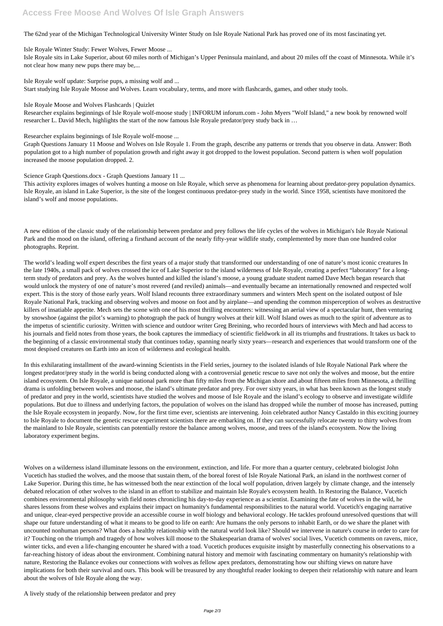## **Access Free Moose And Wolves Of Isle Graph Answers**

The 62nd year of the Michigan Technological University Winter Study on Isle Royale National Park has proved one of its most fascinating yet.

Isle Royale Winter Study: Fewer Wolves, Fewer Moose ...

Isle Royale sits in Lake Superior, about 60 miles north of Michigan's Upper Peninsula mainland, and about 20 miles off the coast of Minnesota. While it's not clear how many new pups there may be,...

Isle Royale wolf update: Surprise pups, a missing wolf and ... Start studying Isle Royale Moose and Wolves. Learn vocabulary, terms, and more with flashcards, games, and other study tools.

Isle Royale Moose and Wolves Flashcards | Quizlet

Researcher explains beginnings of Isle Royale wolf-moose study | INFORUM inforum.com - John Myers "Wolf Island," a new book by renowned wolf researcher L. David Mech, highlights the start of the now famous Isle Royale predator/prey study back in …

Researcher explains beginnings of Isle Royale wolf-moose ...

Graph Questions January 11 Moose and Wolves on Isle Royale 1. From the graph, describe any patterns or trends that you observe in data. Answer: Both population got to a high number of population growth and right away it got dropped to the lowest population. Second pattern is when wolf population increased the moose population dropped. 2.

Science Graph Questions.docx - Graph Questions January 11 ...

This activity explores images of wolves hunting a moose on Isle Royale, which serve as phenomena for learning about predator-prey population dynamics. Isle Royale, an island in Lake Superior, is the site of the longest continuous predator-prey study in the world. Since 1958, scientists have monitored the island's wolf and moose populations.

A new edition of the classic study of the relationship between predator and prey follows the life cycles of the wolves in Michigan's Isle Royale National Park and the mood on the island, offering a firsthand account of the nearly fifty-year wildlife study, complemented by more than one hundred color photographs. Reprint.

The world's leading wolf expert describes the first years of a major study that transformed our understanding of one of nature's most iconic creatures In the late 1940s, a small pack of wolves crossed the ice of Lake Superior to the island wilderness of Isle Royale, creating a perfect "laboratory" for a longterm study of predators and prey. As the wolves hunted and killed the island's moose, a young graduate student named Dave Mech began research that would unlock the mystery of one of nature's most revered (and reviled) animals—and eventually became an internationally renowned and respected wolf expert. This is the story of those early years. Wolf Island recounts three extraordinary summers and winters Mech spent on the isolated outpost of Isle Royale National Park, tracking and observing wolves and moose on foot and by airplane—and upending the common misperception of wolves as destructive killers of insatiable appetite. Mech sets the scene with one of his most thrilling encounters: witnessing an aerial view of a spectacular hunt, then venturing by snowshoe (against the pilot's warning) to photograph the pack of hungry wolves at their kill. Wolf Island owes as much to the spirit of adventure as to the impetus of scientific curiosity. Written with science and outdoor writer Greg Breining, who recorded hours of interviews with Mech and had access to his journals and field notes from those years, the book captures the immediacy of scientific fieldwork in all its triumphs and frustrations. It takes us back to the beginning of a classic environmental study that continues today, spanning nearly sixty years—research and experiences that would transform one of the most despised creatures on Earth into an icon of wilderness and ecological health.

In this exhilarating installment of the award-winning Scientists in the Field series, journey to the isolated islands of Isle Royale National Park where the longest predator/prey study in the world is being conducted along with a controversial genetic rescue to save not only the wolves and moose, but the entire island ecosystem. On Isle Royale, a unique national park more than fifty miles from the Michigan shore and about fifteen miles from Minnesota, a thrilling drama is unfolding between wolves and moose, the island's ultimate predator and prey. For over sixty years, in what has been known as the longest study of predator and prey in the world, scientists have studied the wolves and moose of Isle Royale and the island's ecology to observe and investigate wildlife populations. But due to illness and underlying factors, the population of wolves on the island has dropped while the number of moose has increased, putting the Isle Royale ecosystem in jeopardy. Now, for the first time ever, scientists are intervening. Join celebrated author Nancy Castaldo in this exciting journey to Isle Royale to document the genetic rescue experiment scientists there are embarking on. If they can successfully relocate twenty to thirty wolves from the mainland to Isle Royale, scientists can potentially restore the balance among wolves, moose, and trees of the island's ecosystem. Now the living laboratory experiment begins.

Wolves on a wilderness island illuminate lessons on the environment, extinction, and life. For more than a quarter century, celebrated biologist John

Vucetich has studied the wolves, and the moose that sustain them, of the boreal forest of Isle Royale National Park, an island in the northwest corner of Lake Superior. During this time, he has witnessed both the near extinction of the local wolf population, driven largely by climate change, and the intensely debated relocation of other wolves to the island in an effort to stabilize and maintain Isle Royale's ecosystem health. In Restoring the Balance, Vucetich combines environmental philosophy with field notes chronicling his day-to-day experience as a scientist. Examining the fate of wolves in the wild, he shares lessons from these wolves and explains their impact on humanity's fundamental responsibilities to the natural world. Vucetich's engaging narrative and unique, clear-eyed perspective provide an accessible course in wolf biology and behavioral ecology. He tackles profound unresolved questions that will shape our future understanding of what it means to be good to life on earth: Are humans the only persons to inhabit Earth, or do we share the planet with uncounted nonhuman persons? What does a healthy relationship with the natural world look like? Should we intervene in nature's course in order to care for it? Touching on the triumph and tragedy of how wolves kill moose to the Shakespearian drama of wolves' social lives, Vucetich comments on ravens, mice, winter ticks, and even a life-changing encounter he shared with a toad. Vucetich produces exquisite insight by masterfully connecting his observations to a far-reaching history of ideas about the environment. Combining natural history and memoir with fascinating commentary on humanity's relationship with nature, Restoring the Balance evokes our connections with wolves as fellow apex predators, demonstrating how our shifting views on nature have implications for both their survival and ours. This book will be treasured by any thoughtful reader looking to deepen their relationship with nature and learn about the wolves of Isle Royale along the way.

A lively study of the relationship between predator and prey